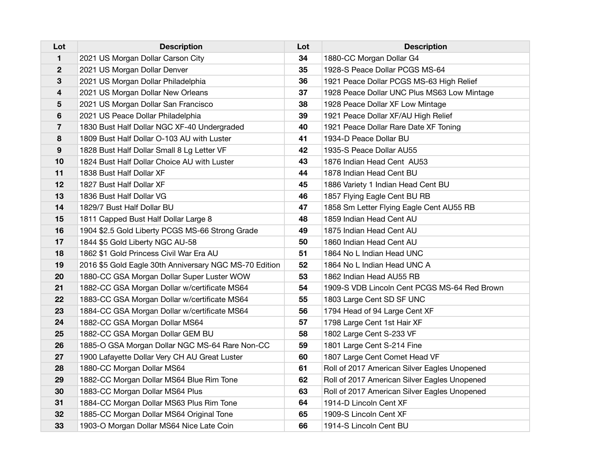| Lot                     | <b>Description</b>                                     | Lot | <b>Description</b>                           |
|-------------------------|--------------------------------------------------------|-----|----------------------------------------------|
| 1                       | 2021 US Morgan Dollar Carson City                      | 34  | 1880-CC Morgan Dollar G4                     |
| $\mathbf{2}$            | 2021 US Morgan Dollar Denver                           | 35  | 1928-S Peace Dollar PCGS MS-64               |
| 3                       | 2021 US Morgan Dollar Philadelphia                     | 36  | 1921 Peace Dollar PCGS MS-63 High Relief     |
| 4                       | 2021 US Morgan Dollar New Orleans                      | 37  | 1928 Peace Dollar UNC Plus MS63 Low Mintage  |
| 5                       | 2021 US Morgan Dollar San Francisco                    | 38  | 1928 Peace Dollar XF Low Mintage             |
| 6                       | 2021 US Peace Dollar Philadelphia                      | 39  | 1921 Peace Dollar XF/AU High Relief          |
| $\overline{\mathbf{r}}$ | 1830 Bust Half Dollar NGC XF-40 Undergraded            | 40  | 1921 Peace Dollar Rare Date XF Toning        |
| 8                       | 1809 Bust Half Dollar O-103 AU with Luster             | 41  | 1934-D Peace Dollar BU                       |
| 9                       | 1828 Bust Half Dollar Small 8 Lg Letter VF             | 42  | 1935-S Peace Dollar AU55                     |
| 10                      | 1824 Bust Half Dollar Choice AU with Luster            | 43  | 1876 Indian Head Cent AU53                   |
| 11                      | 1838 Bust Half Dollar XF                               | 44  | 1878 Indian Head Cent BU                     |
| 12                      | 1827 Bust Half Dollar XF                               | 45  | 1886 Variety 1 Indian Head Cent BU           |
| 13                      | 1836 Bust Half Dollar VG                               | 46  | 1857 Flying Eagle Cent BU RB                 |
| 14                      | 1829/7 Bust Half Dollar BU                             | 47  | 1858 Sm Letter Flying Eagle Cent AU55 RB     |
| 15                      | 1811 Capped Bust Half Dollar Large 8                   | 48  | 1859 Indian Head Cent AU                     |
| 16                      | 1904 \$2.5 Gold Liberty PCGS MS-66 Strong Grade        | 49  | 1875 Indian Head Cent AU                     |
| 17                      | 1844 \$5 Gold Liberty NGC AU-58                        | 50  | 1860 Indian Head Cent AU                     |
| 18                      | 1862 \$1 Gold Princess Civil War Era AU                | 51  | 1864 No L Indian Head UNC                    |
| 19                      | 2016 \$5 Gold Eagle 30th Anniversary NGC MS-70 Edition | 52  | 1864 No L Indian Head UNC A                  |
| 20                      | 1880-CC GSA Morgan Dollar Super Luster WOW             | 53  | 1862 Indian Head AU55 RB                     |
| 21                      | 1882-CC GSA Morgan Dollar w/certificate MS64           | 54  | 1909-S VDB Lincoln Cent PCGS MS-64 Red Brown |
| 22                      | 1883-CC GSA Morgan Dollar w/certificate MS64           | 55  | 1803 Large Cent SD SF UNC                    |
| 23                      | 1884-CC GSA Morgan Dollar w/certificate MS64           | 56  | 1794 Head of 94 Large Cent XF                |
| 24                      | 1882-CC GSA Morgan Dollar MS64                         | 57  | 1798 Large Cent 1st Hair XF                  |
| 25                      | 1882-CC GSA Morgan Dollar GEM BU                       | 58  | 1802 Large Cent S-233 VF                     |
| 26                      | 1885-O GSA Morgan Dollar NGC MS-64 Rare Non-CC         | 59  | 1801 Large Cent S-214 Fine                   |
| 27                      | 1900 Lafayette Dollar Very CH AU Great Luster          | 60  | 1807 Large Cent Comet Head VF                |
| 28                      | 1880-CC Morgan Dollar MS64                             | 61  | Roll of 2017 American Silver Eagles Unopened |
| 29                      | 1882-CC Morgan Dollar MS64 Blue Rim Tone               | 62  | Roll of 2017 American Silver Eagles Unopened |
| 30                      | 1883-CC Morgan Dollar MS64 Plus                        | 63  | Roll of 2017 American Silver Eagles Unopened |
| 31                      | 1884-CC Morgan Dollar MS63 Plus Rim Tone               | 64  | 1914-D Lincoln Cent XF                       |
| 32                      | 1885-CC Morgan Dollar MS64 Original Tone               | 65  | 1909-S Lincoln Cent XF                       |
| 33                      | 1903-O Morgan Dollar MS64 Nice Late Coin               | 66  | 1914-S Lincoln Cent BU                       |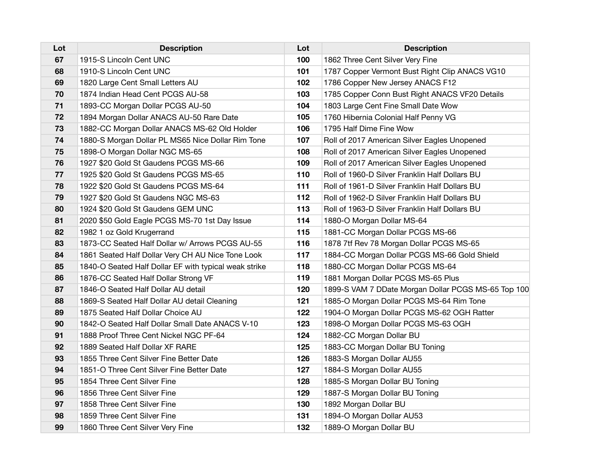| Lot | <b>Description</b>                                    | Lot | <b>Description</b>                                  |
|-----|-------------------------------------------------------|-----|-----------------------------------------------------|
| 67  | 1915-S Lincoln Cent UNC                               | 100 | 1862 Three Cent Silver Very Fine                    |
| 68  | 1910-S Lincoln Cent UNC                               | 101 | 1787 Copper Vermont Bust Right Clip ANACS VG10      |
| 69  | 1820 Large Cent Small Letters AU                      | 102 | 1786 Copper New Jersey ANACS F12                    |
| 70  | 1874 Indian Head Cent PCGS AU-58                      | 103 | 1785 Copper Conn Bust Right ANACS VF20 Details      |
| 71  | 1893-CC Morgan Dollar PCGS AU-50                      | 104 | 1803 Large Cent Fine Small Date Wow                 |
| 72  | 1894 Morgan Dollar ANACS AU-50 Rare Date              | 105 | 1760 Hibernia Colonial Half Penny VG                |
| 73  | 1882-CC Morgan Dollar ANACS MS-62 Old Holder          | 106 | 1795 Half Dime Fine Wow                             |
| 74  | 1880-S Morgan Dollar PL MS65 Nice Dollar Rim Tone     | 107 | Roll of 2017 American Silver Eagles Unopened        |
| 75  | 1898-O Morgan Dollar NGC MS-65                        | 108 | Roll of 2017 American Silver Eagles Unopened        |
| 76  | 1927 \$20 Gold St Gaudens PCGS MS-66                  | 109 | Roll of 2017 American Silver Eagles Unopened        |
| 77  | 1925 \$20 Gold St Gaudens PCGS MS-65                  | 110 | Roll of 1960-D Silver Franklin Half Dollars BU      |
| 78  | 1922 \$20 Gold St Gaudens PCGS MS-64                  | 111 | Roll of 1961-D Silver Franklin Half Dollars BU      |
| 79  | 1927 \$20 Gold St Gaudens NGC MS-63                   | 112 | Roll of 1962-D Silver Franklin Half Dollars BU      |
| 80  | 1924 \$20 Gold St Gaudens GEM UNC                     | 113 | Roll of 1963-D Silver Franklin Half Dollars BU      |
| 81  | 2020 \$50 Gold Eagle PCGS MS-70 1st Day Issue         | 114 | 1880-O Morgan Dollar MS-64                          |
| 82  | 1982 1 oz Gold Krugerrand                             | 115 | 1881-CC Morgan Dollar PCGS MS-66                    |
| 83  | 1873-CC Seated Half Dollar w/ Arrows PCGS AU-55       | 116 | 1878 7tf Rev 78 Morgan Dollar PCGS MS-65            |
| 84  | 1861 Seated Half Dollar Very CH AU Nice Tone Look     | 117 | 1884-CC Morgan Dollar PCGS MS-66 Gold Shield        |
| 85  | 1840-O Seated Half Dollar EF with typical weak strike | 118 | 1880-CC Morgan Dollar PCGS MS-64                    |
| 86  | 1876-CC Seated Half Dollar Strong VF                  | 119 | 1881 Morgan Dollar PCGS MS-65 Plus                  |
| 87  | 1846-O Seated Half Dollar AU detail                   | 120 | 1899-S VAM 7 DDate Morgan Dollar PCGS MS-65 Top 100 |
| 88  | 1869-S Seated Half Dollar AU detail Cleaning          | 121 | 1885-O Morgan Dollar PCGS MS-64 Rim Tone            |
| 89  | 1875 Seated Half Dollar Choice AU                     | 122 | 1904-O Morgan Dollar PCGS MS-62 OGH Ratter          |
| 90  | 1842-O Seated Half Dollar Small Date ANACS V-10       | 123 | 1898-O Morgan Dollar PCGS MS-63 OGH                 |
| 91  | 1888 Proof Three Cent Nickel NGC PF-64                | 124 | 1882-CC Morgan Dollar BU                            |
| 92  | 1889 Seated Half Dollar XF RARE                       | 125 | 1883-CC Morgan Dollar BU Toning                     |
| 93  | 1855 Three Cent Silver Fine Better Date               | 126 | 1883-S Morgan Dollar AU55                           |
| 94  | 1851-O Three Cent Silver Fine Better Date             | 127 | 1884-S Morgan Dollar AU55                           |
| 95  | 1854 Three Cent Silver Fine                           | 128 | 1885-S Morgan Dollar BU Toning                      |
| 96  | 1856 Three Cent Silver Fine                           | 129 | 1887-S Morgan Dollar BU Toning                      |
| 97  | 1858 Three Cent Silver Fine                           | 130 | 1892 Morgan Dollar BU                               |
| 98  | 1859 Three Cent Silver Fine                           | 131 | 1894-O Morgan Dollar AU53                           |
| 99  | 1860 Three Cent Silver Very Fine                      | 132 | 1889-O Morgan Dollar BU                             |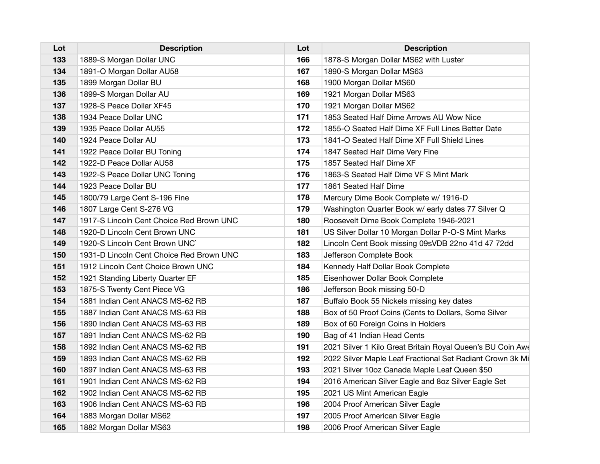| Lot | <b>Description</b>                       | Lot | <b>Description</b>                                         |
|-----|------------------------------------------|-----|------------------------------------------------------------|
| 133 | 1889-S Morgan Dollar UNC                 | 166 | 1878-S Morgan Dollar MS62 with Luster                      |
| 134 | 1891-O Morgan Dollar AU58                | 167 | 1890-S Morgan Dollar MS63                                  |
| 135 | 1899 Morgan Dollar BU                    | 168 | 1900 Morgan Dollar MS60                                    |
| 136 | 1899-S Morgan Dollar AU                  | 169 | 1921 Morgan Dollar MS63                                    |
| 137 | 1928-S Peace Dollar XF45                 | 170 | 1921 Morgan Dollar MS62                                    |
| 138 | 1934 Peace Dollar UNC                    | 171 | 1853 Seated Half Dime Arrows AU Wow Nice                   |
| 139 | 1935 Peace Dollar AU55                   | 172 | 1855-O Seated Half Dime XF Full Lines Better Date          |
| 140 | 1924 Peace Dollar AU                     | 173 | 1841-O Seated Half Dime XF Full Shield Lines               |
| 141 | 1922 Peace Dollar BU Toning              | 174 | 1847 Seated Half Dime Very Fine                            |
| 142 | 1922-D Peace Dollar AU58                 | 175 | 1857 Seated Half Dime XF                                   |
| 143 | 1922-S Peace Dollar UNC Toning           | 176 | 1863-S Seated Half Dime VF S Mint Mark                     |
| 144 | 1923 Peace Dollar BU                     | 177 | 1861 Seated Half Dime                                      |
| 145 | 1800/79 Large Cent S-196 Fine            | 178 | Mercury Dime Book Complete w/ 1916-D                       |
| 146 | 1807 Large Cent S-276 VG                 | 179 | Washington Quarter Book w/ early dates 77 Silver Q         |
| 147 | 1917-S Lincoln Cent Choice Red Brown UNC | 180 | Roosevelt Dime Book Complete 1946-2021                     |
| 148 | 1920-D Lincoln Cent Brown UNC            | 181 | US Silver Dollar 10 Morgan Dollar P-O-S Mint Marks         |
| 149 | 1920-S Lincoln Cent Brown UNC            | 182 | Lincoln Cent Book missing 09sVDB 22no 41d 47 72dd          |
| 150 | 1931-D Lincoln Cent Choice Red Brown UNC | 183 | Jefferson Complete Book                                    |
| 151 | 1912 Lincoln Cent Choice Brown UNC       | 184 | Kennedy Half Dollar Book Complete                          |
| 152 | 1921 Standing Liberty Quarter EF         | 185 | Eisenhower Dollar Book Complete                            |
| 153 | 1875-S Twenty Cent Piece VG              | 186 | Jefferson Book missing 50-D                                |
| 154 | 1881 Indian Cent ANACS MS-62 RB          | 187 | Buffalo Book 55 Nickels missing key dates                  |
| 155 | 1887 Indian Cent ANACS MS-63 RB          | 188 | Box of 50 Proof Coins (Cents to Dollars, Some Silver       |
| 156 | 1890 Indian Cent ANACS MS-63 RB          | 189 | Box of 60 Foreign Coins in Holders                         |
| 157 | 1891 Indian Cent ANACS MS-62 RB          | 190 | Bag of 41 Indian Head Cents                                |
| 158 | 1892 Indian Cent ANACS MS-62 RB          | 191 | 2021 Silver 1 Kilo Great Britain Royal Queen's BU Coin Awe |
| 159 | 1893 Indian Cent ANACS MS-62 RB          | 192 | 2022 Silver Maple Leaf Fractional Set Radiant Crown 3k Mi  |
| 160 | 1897 Indian Cent ANACS MS-63 RB          | 193 | 2021 Silver 10oz Canada Maple Leaf Queen \$50              |
| 161 | 1901 Indian Cent ANACS MS-62 RB          | 194 | 2016 American Silver Eagle and 8oz Silver Eagle Set        |
| 162 | 1902 Indian Cent ANACS MS-62 RB          | 195 | 2021 US Mint American Eagle                                |
| 163 | 1906 Indian Cent ANACS MS-63 RB          | 196 | 2004 Proof American Silver Eagle                           |
| 164 | 1883 Morgan Dollar MS62                  | 197 | 2005 Proof American Silver Eagle                           |
| 165 | 1882 Morgan Dollar MS63                  | 198 | 2006 Proof American Silver Eagle                           |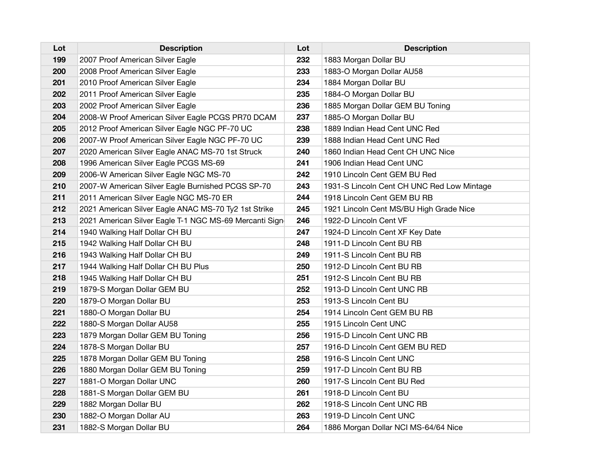| Lot | <b>Description</b>                                      | Lot | <b>Description</b>                         |
|-----|---------------------------------------------------------|-----|--------------------------------------------|
| 199 | 2007 Proof American Silver Eagle                        | 232 | 1883 Morgan Dollar BU                      |
| 200 | 2008 Proof American Silver Eagle                        | 233 | 1883-O Morgan Dollar AU58                  |
| 201 | 2010 Proof American Silver Eagle                        | 234 | 1884 Morgan Dollar BU                      |
| 202 | 2011 Proof American Silver Eagle                        | 235 | 1884-O Morgan Dollar BU                    |
| 203 | 2002 Proof American Silver Eagle                        | 236 | 1885 Morgan Dollar GEM BU Toning           |
| 204 | 2008-W Proof American Silver Eagle PCGS PR70 DCAM       | 237 | 1885-O Morgan Dollar BU                    |
| 205 | 2012 Proof American Silver Eagle NGC PF-70 UC           | 238 | 1889 Indian Head Cent UNC Red              |
| 206 | 2007-W Proof American Silver Eagle NGC PF-70 UC         | 239 | 1888 Indian Head Cent UNC Red              |
| 207 | 2020 American Silver Eagle ANAC MS-70 1st Struck        | 240 | 1860 Indian Head Cent CH UNC Nice          |
| 208 | 1996 American Silver Eagle PCGS MS-69                   | 241 | 1906 Indian Head Cent UNC                  |
| 209 | 2006-W American Silver Eagle NGC MS-70                  | 242 | 1910 Lincoln Cent GEM BU Red               |
| 210 | 2007-W American Silver Eagle Burnished PCGS SP-70       | 243 | 1931-S Lincoln Cent CH UNC Red Low Mintage |
| 211 | 2011 American Silver Eagle NGC MS-70 ER                 | 244 | 1918 Lincoln Cent GEM BU RB                |
| 212 | 2021 American Silver Eagle ANAC MS-70 Ty2 1st Strike    | 245 | 1921 Lincoln Cent MS/BU High Grade Nice    |
| 213 | 2021 American Silver Eagle T-1 NGC MS-69 Mercanti Signe | 246 | 1922-D Lincoln Cent VF                     |
| 214 | 1940 Walking Half Dollar CH BU                          | 247 | 1924-D Lincoln Cent XF Key Date            |
| 215 | 1942 Walking Half Dollar CH BU                          | 248 | 1911-D Lincoln Cent BU RB                  |
| 216 | 1943 Walking Half Dollar CH BU                          | 249 | 1911-S Lincoln Cent BU RB                  |
| 217 | 1944 Walking Half Dollar CH BU Plus                     | 250 | 1912-D Lincoln Cent BU RB                  |
| 218 | 1945 Walking Half Dollar CH BU                          | 251 | 1912-S Lincoln Cent BU RB                  |
| 219 | 1879-S Morgan Dollar GEM BU                             | 252 | 1913-D Lincoln Cent UNC RB                 |
| 220 | 1879-O Morgan Dollar BU                                 | 253 | 1913-S Lincoln Cent BU                     |
| 221 | 1880-O Morgan Dollar BU                                 | 254 | 1914 Lincoln Cent GEM BU RB                |
| 222 | 1880-S Morgan Dollar AU58                               | 255 | 1915 Lincoln Cent UNC                      |
| 223 | 1879 Morgan Dollar GEM BU Toning                        | 256 | 1915-D Lincoln Cent UNC RB                 |
| 224 | 1878-S Morgan Dollar BU                                 | 257 | 1916-D Lincoln Cent GEM BU RED             |
| 225 | 1878 Morgan Dollar GEM BU Toning                        | 258 | 1916-S Lincoln Cent UNC                    |
| 226 | 1880 Morgan Dollar GEM BU Toning                        | 259 | 1917-D Lincoln Cent BU RB                  |
| 227 | 1881-O Morgan Dollar UNC                                | 260 | 1917-S Lincoln Cent BU Red                 |
| 228 | 1881-S Morgan Dollar GEM BU                             | 261 | 1918-D Lincoln Cent BU                     |
| 229 | 1882 Morgan Dollar BU                                   | 262 | 1918-S Lincoln Cent UNC RB                 |
| 230 | 1882-O Morgan Dollar AU                                 | 263 | 1919-D Lincoln Cent UNC                    |
| 231 | 1882-S Morgan Dollar BU                                 | 264 | 1886 Morgan Dollar NCI MS-64/64 Nice       |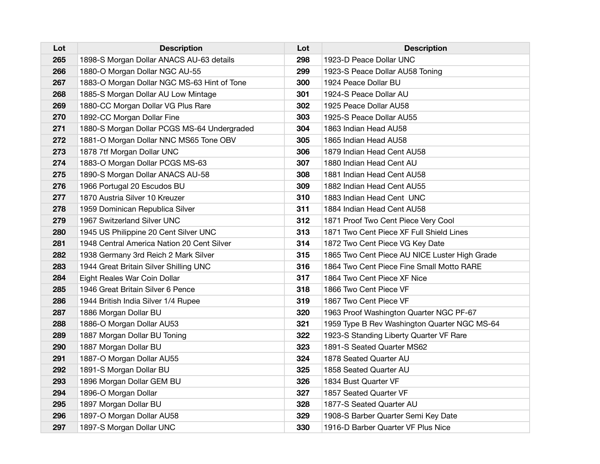| Lot | <b>Description</b>                          | Lot | <b>Description</b>                            |
|-----|---------------------------------------------|-----|-----------------------------------------------|
| 265 | 1898-S Morgan Dollar ANACS AU-63 details    | 298 | 1923-D Peace Dollar UNC                       |
| 266 | 1880-O Morgan Dollar NGC AU-55              | 299 | 1923-S Peace Dollar AU58 Toning               |
| 267 | 1883-O Morgan Dollar NGC MS-63 Hint of Tone | 300 | 1924 Peace Dollar BU                          |
| 268 | 1885-S Morgan Dollar AU Low Mintage         | 301 | 1924-S Peace Dollar AU                        |
| 269 | 1880-CC Morgan Dollar VG Plus Rare          | 302 | 1925 Peace Dollar AU58                        |
| 270 | 1892-CC Morgan Dollar Fine                  | 303 | 1925-S Peace Dollar AU55                      |
| 271 | 1880-S Morgan Dollar PCGS MS-64 Undergraded | 304 | 1863 Indian Head AU58                         |
| 272 | 1881-O Morgan Dollar NNC MS65 Tone OBV      | 305 | 1865 Indian Head AU58                         |
| 273 | 1878 7tf Morgan Dollar UNC                  | 306 | 1879 Indian Head Cent AU58                    |
| 274 | 1883-O Morgan Dollar PCGS MS-63             | 307 | 1880 Indian Head Cent AU                      |
| 275 | 1890-S Morgan Dollar ANACS AU-58            | 308 | 1881 Indian Head Cent AU58                    |
| 276 | 1966 Portugal 20 Escudos BU                 | 309 | 1882 Indian Head Cent AU55                    |
| 277 | 1870 Austria Silver 10 Kreuzer              | 310 | 1883 Indian Head Cent UNC                     |
| 278 | 1959 Dominican Republica Silver             | 311 | 1884 Indian Head Cent AU58                    |
| 279 | 1967 Switzerland Silver UNC                 | 312 | 1871 Proof Two Cent Piece Very Cool           |
| 280 | 1945 US Philippine 20 Cent Silver UNC       | 313 | 1871 Two Cent Piece XF Full Shield Lines      |
| 281 | 1948 Central America Nation 20 Cent Silver  | 314 | 1872 Two Cent Piece VG Key Date               |
| 282 | 1938 Germany 3rd Reich 2 Mark Silver        | 315 | 1865 Two Cent Piece AU NICE Luster High Grade |
| 283 | 1944 Great Britain Silver Shilling UNC      | 316 | 1864 Two Cent Piece Fine Small Motto RARE     |
| 284 | Eight Reales War Coin Dollar                | 317 | 1864 Two Cent Piece XF Nice                   |
| 285 | 1946 Great Britain Silver 6 Pence           | 318 | 1866 Two Cent Piece VF                        |
| 286 | 1944 British India Silver 1/4 Rupee         | 319 | 1867 Two Cent Piece VF                        |
| 287 | 1886 Morgan Dollar BU                       | 320 | 1963 Proof Washington Quarter NGC PF-67       |
| 288 | 1886-O Morgan Dollar AU53                   | 321 | 1959 Type B Rev Washington Quarter NGC MS-64  |
| 289 | 1887 Morgan Dollar BU Toning                | 322 | 1923-S Standing Liberty Quarter VF Rare       |
| 290 | 1887 Morgan Dollar BU                       | 323 | 1891-S Seated Quarter MS62                    |
| 291 | 1887-O Morgan Dollar AU55                   | 324 | 1878 Seated Quarter AU                        |
| 292 | 1891-S Morgan Dollar BU                     | 325 | 1858 Seated Quarter AU                        |
| 293 | 1896 Morgan Dollar GEM BU                   | 326 | 1834 Bust Quarter VF                          |
| 294 | 1896-O Morgan Dollar                        | 327 | 1857 Seated Quarter VF                        |
| 295 | 1897 Morgan Dollar BU                       | 328 | 1877-S Seated Quarter AU                      |
| 296 | 1897-O Morgan Dollar AU58                   | 329 | 1908-S Barber Quarter Semi Key Date           |
| 297 | 1897-S Morgan Dollar UNC                    | 330 | 1916-D Barber Quarter VF Plus Nice            |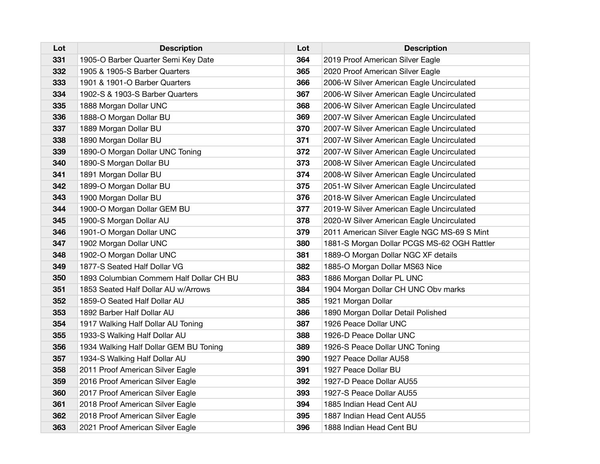| Lot | <b>Description</b>                      | Lot | <b>Description</b>                          |
|-----|-----------------------------------------|-----|---------------------------------------------|
| 331 | 1905-O Barber Quarter Semi Key Date     | 364 | 2019 Proof American Silver Eagle            |
| 332 | 1905 & 1905-S Barber Quarters           | 365 | 2020 Proof American Silver Eagle            |
| 333 | 1901 & 1901-O Barber Quarters           | 366 | 2006-W Silver American Eagle Uncirculated   |
| 334 | 1902-S & 1903-S Barber Quarters         | 367 | 2006-W Silver American Eagle Uncirculated   |
| 335 | 1888 Morgan Dollar UNC                  | 368 | 2006-W Silver American Eagle Uncirculated   |
| 336 | 1888-O Morgan Dollar BU                 | 369 | 2007-W Silver American Eagle Uncirculated   |
| 337 | 1889 Morgan Dollar BU                   | 370 | 2007-W Silver American Eagle Uncirculated   |
| 338 | 1890 Morgan Dollar BU                   | 371 | 2007-W Silver American Eagle Uncirculated   |
| 339 | 1890-O Morgan Dollar UNC Toning         | 372 | 2007-W Silver American Eagle Uncirculated   |
| 340 | 1890-S Morgan Dollar BU                 | 373 | 2008-W Silver American Eagle Uncirculated   |
| 341 | 1891 Morgan Dollar BU                   | 374 | 2008-W Silver American Eagle Uncirculated   |
| 342 | 1899-O Morgan Dollar BU                 | 375 | 2051-W Silver American Eagle Uncirculated   |
| 343 | 1900 Morgan Dollar BU                   | 376 | 2018-W Silver American Eagle Uncirculated   |
| 344 | 1900-O Morgan Dollar GEM BU             | 377 | 2019-W Silver American Eagle Uncirculated   |
| 345 | 1900-S Morgan Dollar AU                 | 378 | 2020-W Silver American Eagle Uncirculated   |
| 346 | 1901-O Morgan Dollar UNC                | 379 | 2011 American Silver Eagle NGC MS-69 S Mint |
| 347 | 1902 Morgan Dollar UNC                  | 380 | 1881-S Morgan Dollar PCGS MS-62 OGH Rattler |
| 348 | 1902-O Morgan Dollar UNC                | 381 | 1889-O Morgan Dollar NGC XF details         |
| 349 | 1877-S Seated Half Dollar VG            | 382 | 1885-O Morgan Dollar MS63 Nice              |
| 350 | 1893 Columbian Commem Half Dollar CH BU | 383 | 1886 Morgan Dollar PL UNC                   |
| 351 | 1853 Seated Half Dollar AU w/Arrows     | 384 | 1904 Morgan Dollar CH UNC Obv marks         |
| 352 | 1859-O Seated Half Dollar AU            | 385 | 1921 Morgan Dollar                          |
| 353 | 1892 Barber Half Dollar AU              | 386 | 1890 Morgan Dollar Detail Polished          |
| 354 | 1917 Walking Half Dollar AU Toning      | 387 | 1926 Peace Dollar UNC                       |
| 355 | 1933-S Walking Half Dollar AU           | 388 | 1926-D Peace Dollar UNC                     |
| 356 | 1934 Walking Half Dollar GEM BU Toning  | 389 | 1926-S Peace Dollar UNC Toning              |
| 357 | 1934-S Walking Half Dollar AU           | 390 | 1927 Peace Dollar AU58                      |
| 358 | 2011 Proof American Silver Eagle        | 391 | 1927 Peace Dollar BU                        |
| 359 | 2016 Proof American Silver Eagle        | 392 | 1927-D Peace Dollar AU55                    |
| 360 | 2017 Proof American Silver Eagle        | 393 | 1927-S Peace Dollar AU55                    |
| 361 | 2018 Proof American Silver Eagle        | 394 | 1885 Indian Head Cent AU                    |
| 362 | 2018 Proof American Silver Eagle        | 395 | 1887 Indian Head Cent AU55                  |
| 363 | 2021 Proof American Silver Eagle        | 396 | 1888 Indian Head Cent BU                    |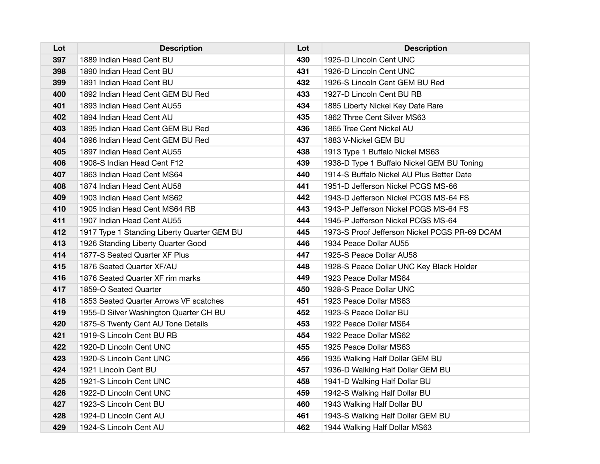| Lot | <b>Description</b>                          | Lot | <b>Description</b>                            |
|-----|---------------------------------------------|-----|-----------------------------------------------|
| 397 | 1889 Indian Head Cent BU                    | 430 | 1925-D Lincoln Cent UNC                       |
| 398 | 1890 Indian Head Cent BU                    | 431 | 1926-D Lincoln Cent UNC                       |
| 399 | 1891 Indian Head Cent BU                    | 432 | 1926-S Lincoln Cent GEM BU Red                |
| 400 | 1892 Indian Head Cent GEM BU Red            | 433 | 1927-D Lincoln Cent BU RB                     |
| 401 | 1893 Indian Head Cent AU55                  | 434 | 1885 Liberty Nickel Key Date Rare             |
| 402 | 1894 Indian Head Cent AU                    | 435 | 1862 Three Cent Silver MS63                   |
| 403 | 1895 Indian Head Cent GEM BU Red            | 436 | 1865 Tree Cent Nickel AU                      |
| 404 | 1896 Indian Head Cent GEM BU Red            | 437 | 1883 V-Nickel GEM BU                          |
| 405 | 1897 Indian Head Cent AU55                  | 438 | 1913 Type 1 Buffalo Nickel MS63               |
| 406 | 1908-S Indian Head Cent F12                 | 439 | 1938-D Type 1 Buffalo Nickel GEM BU Toning    |
| 407 | 1863 Indian Head Cent MS64                  | 440 | 1914-S Buffalo Nickel AU Plus Better Date     |
| 408 | 1874 Indian Head Cent AU58                  | 441 | 1951-D Jefferson Nickel PCGS MS-66            |
| 409 | 1903 Indian Head Cent MS62                  | 442 | 1943-D Jefferson Nickel PCGS MS-64 FS         |
| 410 | 1905 Indian Head Cent MS64 RB               | 443 | 1943-P Jefferson Nickel PCGS MS-64 FS         |
| 411 | 1907 Indian Head Cent AU55                  | 444 | 1945-P Jefferson Nickel PCGS MS-64            |
| 412 | 1917 Type 1 Standing Liberty Quarter GEM BU | 445 | 1973-S Proof Jefferson Nickel PCGS PR-69 DCAM |
| 413 | 1926 Standing Liberty Quarter Good          | 446 | 1934 Peace Dollar AU55                        |
| 414 | 1877-S Seated Quarter XF Plus               | 447 | 1925-S Peace Dollar AU58                      |
| 415 | 1876 Seated Quarter XF/AU                   | 448 | 1928-S Peace Dollar UNC Key Black Holder      |
| 416 | 1876 Seated Quarter XF rim marks            | 449 | 1923 Peace Dollar MS64                        |
| 417 | 1859-O Seated Quarter                       | 450 | 1928-S Peace Dollar UNC                       |
| 418 | 1853 Seated Quarter Arrows VF scatches      | 451 | 1923 Peace Dollar MS63                        |
| 419 | 1955-D Silver Washington Quarter CH BU      | 452 | 1923-S Peace Dollar BU                        |
| 420 | 1875-S Twenty Cent AU Tone Details          | 453 | 1922 Peace Dollar MS64                        |
| 421 | 1919-S Lincoln Cent BU RB                   | 454 | 1922 Peace Dollar MS62                        |
| 422 | 1920-D Lincoln Cent UNC                     | 455 | 1925 Peace Dollar MS63                        |
| 423 | 1920-S Lincoln Cent UNC                     | 456 | 1935 Walking Half Dollar GEM BU               |
| 424 | 1921 Lincoln Cent BU                        | 457 | 1936-D Walking Half Dollar GEM BU             |
| 425 | 1921-S Lincoln Cent UNC                     | 458 | 1941-D Walking Half Dollar BU                 |
| 426 | 1922-D Lincoln Cent UNC                     | 459 | 1942-S Walking Half Dollar BU                 |
| 427 | 1923-S Lincoln Cent BU                      | 460 | 1943 Walking Half Dollar BU                   |
| 428 | 1924-D Lincoln Cent AU                      | 461 | 1943-S Walking Half Dollar GEM BU             |
| 429 | 1924-S Lincoln Cent AU                      | 462 | 1944 Walking Half Dollar MS63                 |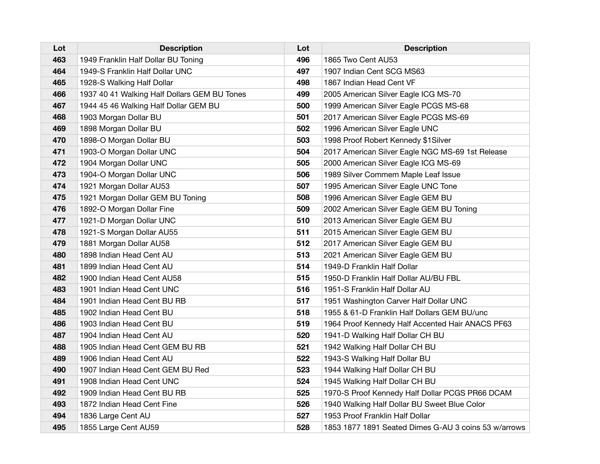| Lot | <b>Description</b>                           | Lot | <b>Description</b>                                   |
|-----|----------------------------------------------|-----|------------------------------------------------------|
| 463 | 1949 Franklin Half Dollar BU Toning          | 496 | 1865 Two Cent AU53                                   |
| 464 | 1949-S Franklin Half Dollar UNC              | 497 | 1907 Indian Cent SCG MS63                            |
| 465 | 1928-S Walking Half Dollar                   | 498 | 1867 Indian Head Cent VF                             |
| 466 | 1937 40 41 Walking Half Dollars GEM BU Tones | 499 | 2005 American Silver Eagle ICG MS-70                 |
| 467 | 1944 45 46 Walking Half Dollar GEM BU        | 500 | 1999 American Silver Eagle PCGS MS-68                |
| 468 | 1903 Morgan Dollar BU                        | 501 | 2017 American Silver Eagle PCGS MS-69                |
| 469 | 1898 Morgan Dollar BU                        | 502 | 1996 American Silver Eagle UNC                       |
| 470 | 1898-O Morgan Dollar BU                      | 503 | 1998 Proof Robert Kennedy \$1Silver                  |
| 471 | 1903-O Morgan Dollar UNC                     | 504 | 2017 American Silver Eagle NGC MS-69 1st Release     |
| 472 | 1904 Morgan Dollar UNC                       | 505 | 2000 American Silver Eagle ICG MS-69                 |
| 473 | 1904-O Morgan Dollar UNC                     | 506 | 1989 Silver Commem Maple Leaf Issue                  |
| 474 | 1921 Morgan Dollar AU53                      | 507 | 1995 American Silver Eagle UNC Tone                  |
| 475 | 1921 Morgan Dollar GEM BU Toning             | 508 | 1996 American Silver Eagle GEM BU                    |
| 476 | 1892-O Morgan Dollar Fine                    | 509 | 2002 American Silver Eagle GEM BU Toning             |
| 477 | 1921-D Morgan Dollar UNC                     | 510 | 2013 American Silver Eagle GEM BU                    |
| 478 | 1921-S Morgan Dollar AU55                    | 511 | 2015 American Silver Eagle GEM BU                    |
| 479 | 1881 Morgan Dollar AU58                      | 512 | 2017 American Silver Eagle GEM BU                    |
| 480 | 1898 Indian Head Cent AU                     | 513 | 2021 American Silver Eagle GEM BU                    |
| 481 | 1899 Indian Head Cent AU                     | 514 | 1949-D Franklin Half Dollar                          |
| 482 | 1900 Indian Head Cent AU58                   | 515 | 1950-D Franklin Half Dollar AU/BU FBL                |
| 483 | 1901 Indian Head Cent UNC                    | 516 | 1951-S Franklin Half Dollar AU                       |
| 484 | 1901 Indian Head Cent BU RB                  | 517 | 1951 Washington Carver Half Dollar UNC               |
| 485 | 1902 Indian Head Cent BU                     | 518 | 1955 & 61-D Franklin Half Dollars GEM BU/unc         |
| 486 | 1903 Indian Head Cent BU                     | 519 | 1964 Proof Kennedy Half Accented Hair ANACS PF63     |
| 487 | 1904 Indian Head Cent AU                     | 520 | 1941-D Walking Half Dollar CH BU                     |
| 488 | 1905 Indian Head Cent GEM BU RB              | 521 | 1942 Walking Half Dollar CH BU                       |
| 489 | 1906 Indian Head Cent AU                     | 522 | 1943-S Walking Half Dollar BU                        |
| 490 | 1907 Indian Head Cent GEM BU Red             | 523 | 1944 Walking Half Dollar CH BU                       |
| 491 | 1908 Indian Head Cent UNC                    | 524 | 1945 Walking Half Dollar CH BU                       |
| 492 | 1909 Indian Head Cent BU RB                  | 525 | 1970-S Proof Kennedy Half Dollar PCGS PR66 DCAM      |
| 493 | 1872 Indian Head Cent Fine                   | 526 | 1940 Walking Half Dollar BU Sweet Blue Color         |
| 494 | 1836 Large Cent AU                           | 527 | 1953 Proof Franklin Half Dollar                      |
| 495 | 1855 Large Cent AU59                         | 528 | 1853 1877 1891 Seated Dimes G-AU 3 coins 53 w/arrows |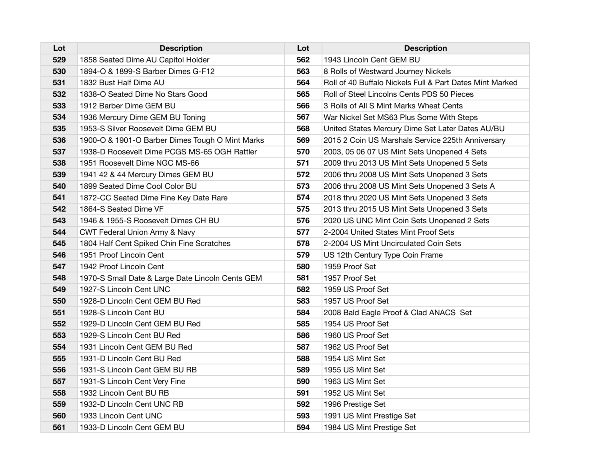| Lot | <b>Description</b>                               | Lot | <b>Description</b>                                       |
|-----|--------------------------------------------------|-----|----------------------------------------------------------|
| 529 | 1858 Seated Dime AU Capitol Holder               | 562 | 1943 Lincoln Cent GEM BU                                 |
| 530 | 1894-O & 1899-S Barber Dimes G-F12               | 563 | 8 Rolls of Westward Journey Nickels                      |
| 531 | 1832 Bust Half Dime AU                           | 564 | Roll of 40 Buffalo Nickels Full & Part Dates Mint Marked |
| 532 | 1838-O Seated Dime No Stars Good                 | 565 | Roll of Steel Lincolns Cents PDS 50 Pieces               |
| 533 | 1912 Barber Dime GEM BU                          | 566 | 3 Rolls of All S Mint Marks Wheat Cents                  |
| 534 | 1936 Mercury Dime GEM BU Toning                  | 567 | War Nickel Set MS63 Plus Some With Steps                 |
| 535 | 1953-S Silver Roosevelt Dime GEM BU              | 568 | United States Mercury Dime Set Later Dates AU/BU         |
| 536 | 1900-O & 1901-O Barber Dimes Tough O Mint Marks  | 569 | 2015 2 Coin US Marshals Service 225th Anniversary        |
| 537 | 1938-D Roosevelt Dime PCGS MS-65 OGH Rattler     | 570 | 2003, 05 06 07 US Mint Sets Unopened 4 Sets              |
| 538 | 1951 Roosevelt Dime NGC MS-66                    | 571 | 2009 thru 2013 US Mint Sets Unopened 5 Sets              |
| 539 | 1941 42 & 44 Mercury Dimes GEM BU                | 572 | 2006 thru 2008 US Mint Sets Unopened 3 Sets              |
| 540 | 1899 Seated Dime Cool Color BU                   | 573 | 2006 thru 2008 US Mint Sets Unopened 3 Sets A            |
| 541 | 1872-CC Seated Dime Fine Key Date Rare           | 574 | 2018 thru 2020 US Mint Sets Unopened 3 Sets              |
| 542 | 1864-S Seated Dime VF                            | 575 | 2013 thru 2015 US Mint Sets Unopened 3 Sets              |
| 543 | 1946 & 1955-S Roosevelt Dimes CH BU              | 576 | 2020 US UNC Mint Coin Sets Unopened 2 Sets               |
| 544 | CWT Federal Union Army & Navy                    | 577 | 2-2004 United States Mint Proof Sets                     |
| 545 | 1804 Half Cent Spiked Chin Fine Scratches        | 578 | 2-2004 US Mint Uncirculated Coin Sets                    |
| 546 | 1951 Proof Lincoln Cent                          | 579 | US 12th Century Type Coin Frame                          |
| 547 | 1942 Proof Lincoln Cent                          | 580 | 1959 Proof Set                                           |
| 548 | 1970-S Small Date & Large Date Lincoln Cents GEM | 581 | 1957 Proof Set                                           |
| 549 | 1927-S Lincoln Cent UNC                          | 582 | 1959 US Proof Set                                        |
| 550 | 1928-D Lincoln Cent GEM BU Red                   | 583 | 1957 US Proof Set                                        |
| 551 | 1928-S Lincoln Cent BU                           | 584 | 2008 Bald Eagle Proof & Clad ANACS Set                   |
| 552 | 1929-D Lincoln Cent GEM BU Red                   | 585 | 1954 US Proof Set                                        |
| 553 | 1929-S Lincoln Cent BU Red                       | 586 | 1960 US Proof Set                                        |
| 554 | 1931 Lincoln Cent GEM BU Red                     | 587 | 1962 US Proof Set                                        |
| 555 | 1931-D Lincoln Cent BU Red                       | 588 | 1954 US Mint Set                                         |
| 556 | 1931-S Lincoln Cent GEM BU RB                    | 589 | 1955 US Mint Set                                         |
| 557 | 1931-S Lincoln Cent Very Fine                    | 590 | 1963 US Mint Set                                         |
| 558 | 1932 Lincoln Cent BU RB                          | 591 | 1952 US Mint Set                                         |
| 559 | 1932-D Lincoln Cent UNC RB                       | 592 | 1996 Prestige Set                                        |
| 560 | 1933 Lincoln Cent UNC                            | 593 | 1991 US Mint Prestige Set                                |
| 561 | 1933-D Lincoln Cent GEM BU                       | 594 | 1984 US Mint Prestige Set                                |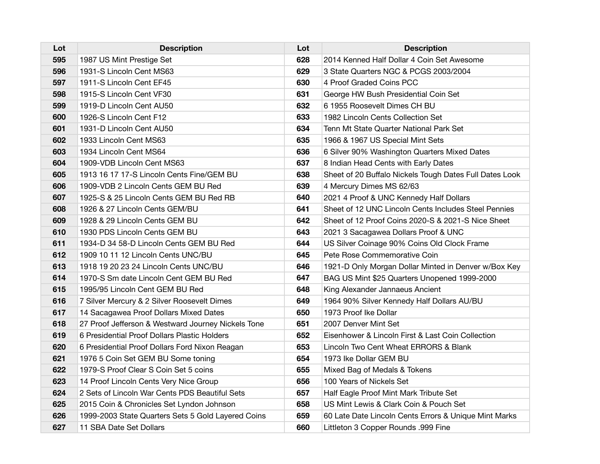| Lot | <b>Description</b>                                 | Lot | <b>Description</b>                                      |
|-----|----------------------------------------------------|-----|---------------------------------------------------------|
| 595 | 1987 US Mint Prestige Set                          | 628 | 2014 Kenned Half Dollar 4 Coin Set Awesome              |
| 596 | 1931-S Lincoln Cent MS63                           | 629 | 3 State Quarters NGC & PCGS 2003/2004                   |
| 597 | 1911-S Lincoln Cent EF45                           | 630 | 4 Proof Graded Coins PCC                                |
| 598 | 1915-S Lincoln Cent VF30                           | 631 | George HW Bush Presidential Coin Set                    |
| 599 | 1919-D Lincoln Cent AU50                           | 632 | 6 1955 Roosevelt Dimes CH BU                            |
| 600 | 1926-S Lincoln Cent F12                            | 633 | 1982 Lincoln Cents Collection Set                       |
| 601 | 1931-D Lincoln Cent AU50                           | 634 | Tenn Mt State Quarter National Park Set                 |
| 602 | 1933 Lincoln Cent MS63                             | 635 | 1966 & 1967 US Special Mint Sets                        |
| 603 | 1934 Lincoln Cent MS64                             | 636 | 6 Silver 90% Washington Quarters Mixed Dates            |
| 604 | 1909-VDB Lincoln Cent MS63                         | 637 | 8 Indian Head Cents with Early Dates                    |
| 605 | 1913 16 17 17-S Lincoln Cents Fine/GEM BU          | 638 | Sheet of 20 Buffalo Nickels Tough Dates Full Dates Look |
| 606 | 1909-VDB 2 Lincoln Cents GEM BU Red                | 639 | 4 Mercury Dimes MS 62/63                                |
| 607 | 1925-S & 25 Lincoln Cents GEM BU Red RB            | 640 | 2021 4 Proof & UNC Kennedy Half Dollars                 |
| 608 | 1926 & 27 Lincoln Cents GEM/BU                     | 641 | Sheet of 12 UNC Lincoln Cents Includes Steel Pennies    |
| 609 | 1928 & 29 Lincoln Cents GEM BU                     | 642 | Sheet of 12 Proof Coins 2020-S & 2021-S Nice Sheet      |
| 610 | 1930 PDS Lincoln Cents GEM BU                      | 643 | 2021 3 Sacagawea Dollars Proof & UNC                    |
| 611 | 1934-D 34 58-D Lincoln Cents GEM BU Red            | 644 | US Silver Coinage 90% Coins Old Clock Frame             |
| 612 | 1909 10 11 12 Lincoln Cents UNC/BU                 | 645 | Pete Rose Commemorative Coin                            |
| 613 | 1918 19 20 23 24 Lincoln Cents UNC/BU              | 646 | 1921-D Only Morgan Dollar Minted in Denver w/Box Key    |
| 614 | 1970-S Sm date Lincoln Cent GEM BU Red             | 647 | BAG US Mint \$25 Quarters Unopened 1999-2000            |
| 615 | 1995/95 Lincoln Cent GEM BU Red                    | 648 | King Alexander Jannaeus Ancient                         |
| 616 | 7 Silver Mercury & 2 Silver Roosevelt Dimes        | 649 | 1964 90% Silver Kennedy Half Dollars AU/BU              |
| 617 | 14 Sacagawea Proof Dollars Mixed Dates             | 650 | 1973 Proof Ike Dollar                                   |
| 618 | 27 Proof Jefferson & Westward Journey Nickels Tone | 651 | 2007 Denver Mint Set                                    |
| 619 | 6 Presidential Proof Dollars Plastic Holders       | 652 | Eisenhower & Lincoln First & Last Coin Collection       |
| 620 | 6 Presidential Proof Dollars Ford Nixon Reagan     | 653 | Lincoln Two Cent Wheat ERRORS & Blank                   |
| 621 | 1976 5 Coin Set GEM BU Some toning                 | 654 | 1973 Ike Dollar GEM BU                                  |
| 622 | 1979-S Proof Clear S Coin Set 5 coins              | 655 | Mixed Bag of Medals & Tokens                            |
| 623 | 14 Proof Lincoln Cents Very Nice Group             | 656 | 100 Years of Nickels Set                                |
| 624 | 2 Sets of Lincoln War Cents PDS Beautiful Sets     | 657 | Half Eagle Proof Mint Mark Tribute Set                  |
| 625 | 2015 Coin & Chronicles Set Lyndon Johnson          | 658 | US Mint Lewis & Clark Coin & Pouch Set                  |
| 626 | 1999-2003 State Quarters Sets 5 Gold Layered Coins | 659 | 60 Late Date Lincoln Cents Errors & Unique Mint Marks   |
| 627 | 11 SBA Date Set Dollars                            | 660 | Littleton 3 Copper Rounds .999 Fine                     |